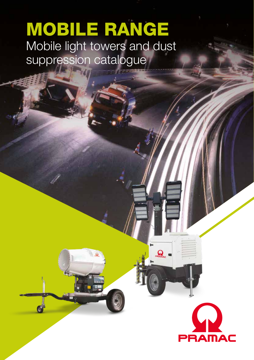# MOBILE RANGE Mobile light towers and dust suppression catalogue

 $\overline{a}$ 



 $\Omega$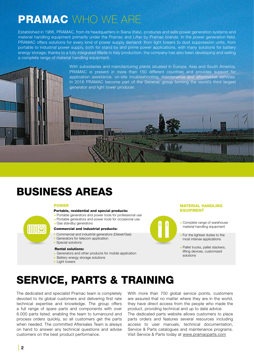## PRAMAC WHO WE ARE

Established in 1966, PRAMAC, from its headquarters in Siena (Italy), produces and sells power generation systems and material handling equipment primarily under the Pramac and Lifter by Pramac brands. In the power generation field, PRAMAC offers solutions for every kind of power supply demand: from light towers to dust suppression units, from portable to industrial power supply, both for stand by and prime power applications, with many solutions for battery energy storage; thanks to a fully integrated Made in Italy production, the company has also been developing and selling a complete range of material handling equipment.

**Applematical Communication** 

With subsidiaries and manufacturing plants situated in Europe, Asia and South America, PRAMAC is present in more than 150 different countries and provides support for application assistance, on-site troubleshooting, maintenance and aftermarket services. In 2016 PRAMAC become part of the Generac group forming the world's third largest generator and light tower producer.

## BUSINESS AREAS

#### POWER

#### Portable, residential and special products:

- Portable generators and power tools for professional use •
- Portable generators and power tools for occasional use •
- Gas standby generators •

#### Commercial and industrial products:

- Commercial and industrial generators (Diesel/Gas)
- Generators for telecom application
- Special solutions

#### Rental solutions:

- Generators and other products for mobile application
- Battery energy storage solutions
- Light towers

#### MATERIAL HANDLING EQUIPMENT

- Complete range of warehouse material handling equipment
- For the lightest duties to the most intense applications •
- Pallet trucks, pallet stackers, lifting devices, customized solutions

## SERVICE, PARTS & TRAINING

The dedicated and specialist Pramac team is completely devoted to its global customers and delivering first rate technical expertise and knowledge. The group offers a full range of spare parts and components with over 6.000 parts listed, enabling the team to turnaround and process orders quickly, so all customers get the parts when needed. The committed Aftersales Team is always on hand to answer any technical questions and advise customers on the best product performance.

With more than 700 global service points, customers are assured that no matter where they are in the world, they have direct access from the people who made the product, providing technical and up to date advice.

The dedicated parts website allows customers to place parts orders and features several resources including access to user manuals, technical documentation, Service & Parts catalogues and maintenance programs. Visit Service & Parts today at www.pramacparts.com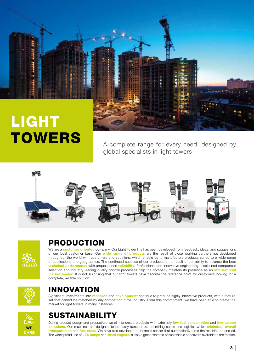

# LIGHT **TOWERS**

A complete range for every need, designed by global specialists in light towers





### PRODUCTION

We are a customer oriented company. Our Light Tower line has been developed from feedback, ideas, and suggestions of our loyal customer base. Our wide range of products are the result of close working partnerships developed throughout the world with customers and suppliers, which enable us to manufacture products suited to a wide range of applications and geographies. The continued success of our products is the result of our ability to balance the best technical performance with unquestioned reliability. Professional and innovative engineering, disciplined component selection and industry leading quality control processes help the company maintain its presence as an international market leader. It is not surprising that our light towers have become the reference point for customers looking for a complete, reliable solution.



### INNOVATION

Significant investments into research and development continue to produce highly innovative products, with a feature set that cannot be matched by any competitor in the industry. From this commitment, we have been able to create the market for light towers in many instances.



### SUSTAINABILITY

During product design and production, we aim to create products with extremely low fuel consumption and low carbon emissions. Our machines are designed to be easily transported, optimizing space and logistics which minimizes overall transportation and fuel costs. We have also developed a darkness sensor that automatically turns the machine on and off. The widespread use of LED lamps and small engines is also a great example of sustainable endeavors available to the market.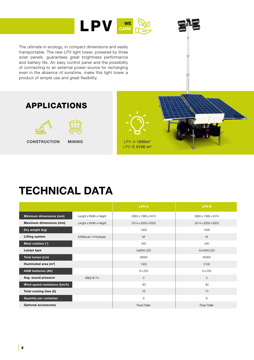

3 J

The ultimate in ecology, in compact dimensions and easily transportable. The new LPV light tower, powered by three solar panels, guarantees great brightness performance and battery life. An easy control panel and the possibility of connecting to an external power source for recharging even in the absence of sunshine, make this light tower a product of simple use and great flexibility.





|                                    |                         | LPV-A              | LPV-B              |
|------------------------------------|-------------------------|--------------------|--------------------|
| Minimum dimensions (mm)            | Lenght x Width x Height | 2983 x 1386 x 2474 | 2983 x 1386 x 2474 |
| <b>Maximum dimensions (mm)</b>     | Lenght x Width x Height | 3514 x 3059 x 6500 | 3514 x 3059 x 6500 |
| Dry weight (kg)                    |                         | 1000               | 1000               |
| <b>Lifting system</b>              | M:Manual / H:Hydraulic  | M                  | M                  |
| Mast rotation (°)                  |                         | 340                | 340                |
| Lamps type                         |                         | 4x65W LED          | 4x100W LED         |
| Total lumen (Lm)                   |                         | 29000              | 60000              |
| Illuminated area (m <sup>2</sup> ) |                         | 1500               | 2100               |
| <b>AGM batteries (Ah)</b>          |                         | 8 x 230            | 8 x 230            |
| Avg. sound pressure                | dB(A) @ 7m              | $\mathbf{O}$       | $\circ$            |
| Wind speed resistance (km/h)       |                         | 80                 | 80                 |
| Total running time (h)             |                         | 16                 | 10                 |
| <b>Quantity per container</b>      |                         | 8                  | 8                  |
| <b>Optional accessories</b>        |                         | Road Trailer       | Road Trailer       |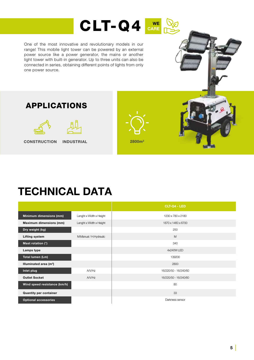

One of the most innovative and revolutionary models in our range! This mobile light tower can be powered by an external power source like a power generator, the mains or another light tower with built-in generator. Up to three units can also be connected in series, obtaining different points of lights from only one power source.



### APPLICATIONS



**CONSTRUCTION** 

2800m2 INDUSTRIAL



|                               |                         | <b>CLT-Q4 - LED</b>   |
|-------------------------------|-------------------------|-----------------------|
| Minimum dimensions (mm)       | Lenght x Width x Height | 1230 x 780 x 2180     |
| Maximum dimensions (mm)       | Lenght x Width x Height | 1870 x 1460 x 6700    |
| Dry weight (kg)               |                         | 250                   |
| <b>Lifting system</b>         | M:Manual / H:Hydraulic  | M                     |
| Mast rotation (°)             |                         | 340                   |
| Lamps type                    |                         | 4x240W LED            |
| Total lumen (Lm)              |                         | 139200                |
| Illuminated area $(m2)$       |                         | 2800                  |
| Inlet plug                    | A/V/Hz                  | 16/220/50 - 16/240/60 |
| <b>Outlet Socket</b>          | A/V/Hz                  | 16/220/50 - 16/240/60 |
| Wind speed resistance (km/h)  |                         | 80                    |
| <b>Quantity per container</b> |                         | 33                    |
| <b>Optional accessories</b>   |                         | Darkness sensor       |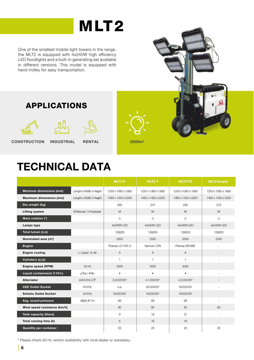# MLT<sub>2</sub>

One of the smallest mobile light towers in the range, the MLT2 is equipped with 4x240W high efficiency LED floodlights and a built-in generating set available in different versions. This model is equipped with hand trolley for easy transportation.







CONSTRUCTION INDUSTRIAL RENTAL 1999 2500m<sup>2</sup>

## TECHNICAL DATA

|                                    |                         | <b>MLT2P</b>       | <b>MLT2Y</b>        | <b>MLT2 PX</b>     | <b>MLT2 Empty</b>  |
|------------------------------------|-------------------------|--------------------|---------------------|--------------------|--------------------|
| Minimum dimensions (mm)            | Lenght x Width x Height | 1250 x 1060 x 1890 | 1250 x 1060 x 1890  | 1250 x 1060 x 1890 | 1250 x 1060 x 1890 |
| Maximum dimensions (mm)            | Lenght x Width x Height | 1460 x 1400 x 5200 | 1460 x 1400 x 5200  | 1460 x 1400 x 5200 | 1460 x 1400 x 5200 |
| Dry weight (kg)                    |                         | 265                | 315                 | 295                | 216                |
| <b>Lifting system</b>              | M:Manual / H:Hydraulic  | M                  | M                   | M                  | M                  |
| Mast rotation (°)                  |                         | $\circ$            | $\mathsf{O}\xspace$ | 0                  | $\Omega$           |
| Lamps type                         |                         | 4x240W LED         | 4x240W LED          | 4x240W LED         | 4x240W LED         |
| Total lumen (Lm)                   |                         | 139200             | 139200              | 139200             | 139200             |
| Illuminated area (m <sup>2</sup> ) |                         | 2500               | 2500                | 2500               | 2500               |
| <b>Engine</b>                      |                         | Pramac LC170F-3    | Yanmar L70N         | Pramac SR188F      |                    |
| <b>Engine cooling</b>              | L: Liquid / A: Air      | $\overline{A}$     | A                   | $\overline{A}$     |                    |
| Cylinders (q.ty)                   |                         | $\mathbf{1}$       | $\mathbf{1}$        | $\mathbf{1}$       |                    |
| Engine speed (RPM)                 | 50 Hz                   | 3000               | 3000                | 3000               |                    |
| Liquid containment (110%)          | $J: Yes / \bullet : No$ | $\bullet$          | $\bullet$           | $\bullet$          |                    |
| <b>Alternator</b>                  | <b>KVAV/Hz LTP</b>      | 3.3/220/50*        | 4.1/220/50*         | 4.2/220/50*        |                    |
| <b>CEE Outlet Socket</b>           | A/V/Hz                  | n.a.               | 32/220/50*          | 16/220/50*         |                    |
| <b>Schuko Outlet Socket</b>        | A/V/Hz                  | 16/220/50*         | 16/220/50*          | 16/220/50*         |                    |
| Avg. sound pressure                | dB(A) @ 7m              | 66                 | 68                  | 69                 |                    |
| Wind speed resistance (km/h)       |                         | 80                 | 80                  | 80                 | 80                 |
| <b>Tank capacity (liters)</b>      |                         | 9                  | 18                  | 27                 |                    |
| Total running time (h)             |                         | 6                  | 16                  | 19                 |                    |
| <b>Quantity per container</b>      |                         | 25                 | 25                  | 25                 | 25                 |

\* Please check 60 Hz version availability with local dealer or subsidiary.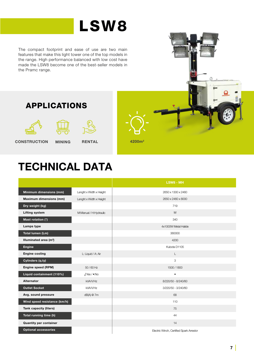# LSW8

The compact footprint and ease of use are two main features that make this light tower one of the top models in the range. High performance balanced with low cost have made the LSW8 become one of the best-seller models in the Pramc range.









CONSTRUCTION MINING



|                                    |                         | LSW8 - MH                                |
|------------------------------------|-------------------------|------------------------------------------|
| Minimum dimensions (mm)            | Lenght x Width x Height | 2650 x 1300 x 2460                       |
| Maximum dimensions (mm)            | Lenght x Width x Height | 2650 x 2460 x 8000                       |
| Dry weight (kg)                    |                         | 719                                      |
| <b>Lifting system</b>              | M:Manual / H:Hydraulic  | M                                        |
| Mast rotation (°)                  |                         | 340                                      |
| Lamps type                         |                         | 4x1000W Metal Halide                     |
| Total lumen (Lm)                   |                         | 360000                                   |
| Illuminated area (m <sup>2</sup> ) |                         | 4200                                     |
| <b>Engine</b>                      |                         | Kubota D1105                             |
| <b>Engine cooling</b>              | L: Liquid / A: Air      | L                                        |
| Cylinders (q.ty)                   |                         | 3                                        |
| Engine speed (RPM)                 | $50/60$ Hz              | 1500/1800                                |
| Liquid containment (110%)          | $J: Yes / \bullet : No$ | $\bullet$                                |
| Alternator                         | kVAV/Hz                 | 8/220/50 - 8/240/60                      |
| <b>Outlet Socket</b>               | kVAV/Hz                 | 3/220/50 - 3/240/60                      |
| Avg. sound pressure                | dB(A) @ 7m              | 68                                       |
| Wind speed resistance (km/h)       |                         | 110                                      |
| Tank capacity (liters)             |                         | 75                                       |
| Total running time (h)             |                         | 44                                       |
| <b>Quantity per container</b>      |                         | 14                                       |
| <b>Optional accessories</b>        |                         | Electric Winch, Certified Spark Arrestor |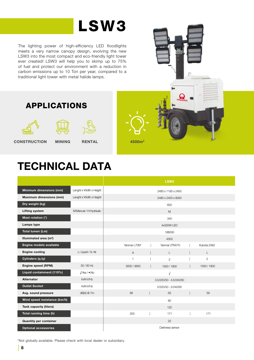# LSW3

The lighting power of high-efficiency LED floodlights meets a very narrow canopy design, evolving the new LSW3 into the most compact and eco-friendly light tower ever created! LSW3 will help you to skimp up to 75% of fuel and protect our environment with a reduction in carbon emissions up to 10 Ton per year, compared to a traditional light tower with metal halide lamps.

CONSTRUCTION MINING RENTAL 4500m<sup>2</sup>

## TECHNICAL DATA

**RENTAL** 

APPLICATIONS

|                                    |                         |                |                |  | LSW <sub>3</sub>        |  |             |  |
|------------------------------------|-------------------------|----------------|----------------|--|-------------------------|--|-------------|--|
| Minimum dimensions (mm)            | Lenght x Width x Height |                |                |  | 2480 x 1190 x 2450      |  |             |  |
| <b>Maximum dimensions (mm)</b>     | Lenght x Width x Height |                |                |  | 2480 x 2400 x 8000      |  |             |  |
| Dry weight (kg)                    |                         |                |                |  | 650                     |  |             |  |
| <b>Lifting system</b>              | M:Manual / H:Hydraulic  |                |                |  | M                       |  |             |  |
| Mast rotation (°)                  |                         |                |                |  | 340                     |  |             |  |
| Lamps type                         |                         |                |                |  | 4x320W LED              |  |             |  |
| Total lumen (Lm)                   |                         | 188000         |                |  |                         |  |             |  |
| Illuminated area (m <sup>2</sup> ) |                         |                |                |  | 4500                    |  |             |  |
| Engine models available            |                         | Yanmar L70N*   |                |  | Yanmar 2TNV70           |  | Kubota 7482 |  |
| <b>Engine cooling</b>              | L: Liquid / A: Air      |                | $\overline{A}$ |  | L                       |  | L           |  |
| Cylinders (q.ty)                   |                         | $\overline{1}$ |                |  | $\overline{c}$          |  | 2           |  |
| Engine speed (RPM)                 | $50/60$ Hz              |                | 3000 / 3600    |  | 1500 / 1800             |  | 1500 / 1800 |  |
| Liquid containment (110%)          | $J: Yes / \bullet : No$ |                |                |  | $\sqrt{2}$              |  |             |  |
| <b>Alternator</b>                  | kVA/V/Hz                |                |                |  | 3.5/220/50 - 4.5/240/60 |  |             |  |
| <b>Outlet Socket</b>               | kVA/V/Hz                |                |                |  | 2/220/50 - 2/240/60     |  |             |  |
| Avg. sound pressure                | dB(A) @ 7m              | 66             |                |  | 59                      |  | 59          |  |
| Wind speed resistance (km/h)       |                         |                |                |  | 80                      |  |             |  |
| Tank capacity (liters)             |                         |                |                |  | 120                     |  |             |  |
| Total running time (h)             |                         | 200            |                |  | 171                     |  | 171         |  |
| <b>Quantity per container</b>      |                         |                |                |  | 22                      |  |             |  |
| <b>Optional accessories</b>        |                         |                |                |  | Darkness sensor         |  |             |  |

\*Not globally available. Please check with local dealer or subsidiary.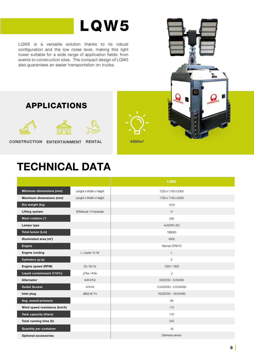# LQW5

LQW5 is a versatile solution thanks to its robust configuration and the low noise level, making this light tower suitable for a wide range of application fields: from events to construction sites. The compact design of LQW5 also guarantees an easier transportation on trucks.



APPLICATIONS







CONSTRUCTION ENTERTAINMENT RENTAL 4500m<sup>2</sup>

|                                    |                                | LQW <sub>5</sub>        |
|------------------------------------|--------------------------------|-------------------------|
| Minimum dimensions (mm)            | Lenght x Width x Height        | 1220 x 1150 x 2300      |
| Maximum dimensions (mm)            | Lenght x Width x Height        | 1790 x 1740 x 8400      |
| Dry weight (kg)                    |                                | 1070                    |
| <b>Lifting system</b>              | M:Manual / H:Hydraulic         | H                       |
| Mast rotation (°)                  |                                | 340                     |
| Lamps type                         |                                | 4x320W LED              |
| Total lumen (Lm)                   |                                | 188000                  |
| Illuminated area (m <sup>2</sup> ) |                                | 4500                    |
| <b>Engine</b>                      |                                | Yanmar 2TNV70           |
| <b>Engine cooling</b>              | L: Liquid / A: Air             | L                       |
| Cylinders (q.ty)                   |                                | $\mathbf{2}$            |
| Engine speed (RPM)                 | 50/60 Hz                       | 1500 / 1800             |
| Liquid containment (110%)          | $\sqrt{?}$ Yes / $\bullet$ :No | $\sqrt{2}$              |
| Alternator                         | kVA/V/Hz                       | 5/220/50 - 5/240/60     |
| <b>Outlet Socket</b>               | A/V/Hz                         | 2.5/220/50 - 2.5/240/60 |
| Inlet plug                         | dB(A) @ 7m                     | 16/220/50 - 16/240/60   |
| Avg. sound pressure                |                                | 58                      |
| Wind speed resistance (km/h)       |                                | 110                     |
| <b>Tank capacity (liters)</b>      |                                | 170                     |
| Total running time (h)             |                                | 243                     |
| <b>Quantity per container</b>      |                                | 18                      |
| <b>Optional accessories</b>        |                                | Darkness sensor         |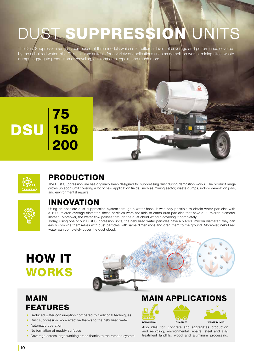# UST SUPPRESSIO

The Dust Suppression range is composed of three models which offer different levels of coverage and performance covered by the nebulized water mist. This units are suitable for a variety of applications such as demolition works, mining sites, waste dumps, aggregate production or recycling, environmental repairs and much more.

### 75 150 200 DSU



### PRODUCTION

The Dust Suppression line has originally been designed for suppressing dust during demolition works. The product range grows up soon until covering a lot of new application fields, such as mining sector, waste dumps, indoor demolition jobs, and environmental repairs.



### INNOVATION

Using an obsolete dust suppression system through a water hose, it was only possible to obtain water particles with a 1000 micron average diameter: these particles were not able to catch dust particles that have a 80 micron diameter instead. Moreover, the water flow passes through the dust cloud without covering it completely.

Today, using one of our Dust Suppression units, the nebulized water particles have a 50-150 micron diameter: they can easily combine themselves with dust particles with same dimensions and drag them to the ground. Moreover, nebulized water can completely cover the dust cloud.

# HOW IT WORKS



### MAIN FEATURES

- Reduced water consumption compared to traditional techniques
- Dust suppression more effective thanks to the nebulized water
- Automatic operation
- No formation of muddy surfaces
- Coverage across large working areas thanks to the rotation system

### MAIN APPLICATIONS



Also ideal for: concrete and aggregates production and recycling, environmental repairs, steel and slag treatment landfills, wood and aluminum processing.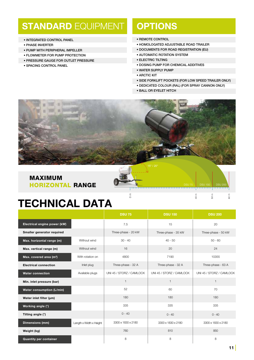### **STANDARD EQUIPMENT OPTIONS**

- INTEGRATED CONTROL PANEL
- PHASE INVERTER
- PUMP WITH PERIPHERAL IMPELLER
- FLOWMETER FOR PUMP PROTECTION
- PRESSURE GAUGE FOR OUTLET PRESSURE
- SPACING CONTROL PANEL

- REMOTE CONTROL
- HOMOLOGATED ADJUSTABLE ROAD TRAILER
- DOCUMENTS FOR ROAD REGISTRATION (EU)
- AUTOMATIC ROTATION SYSTEM
- ELECTRIC TILTING
- DOSING PUMP FOR CHEMICAL ADDITIVES
- WATER SUPPLY PUMP
- ARCTIC KIT
- SIDE FORKLIFT POCKETS (FOR LOW SPEED TRAILER ONLY)

 $\supseteq$ 

m

DSU 75 | DSU 150 | DSU 200

m

- DEDICATED COLOUR (RAL) (FOR SPRAY CANNON ONLY)
- BALL OR EYELET HITCH



٤

### MAXIMUM HORIZONTAL RANGE

|                                     |                         | <b>DSU 75</b>            | <b>DSU 150</b>           | <b>DSU 200</b>           |
|-------------------------------------|-------------------------|--------------------------|--------------------------|--------------------------|
| Electrical engine power (kW)        |                         | 7.5                      | 15                       | 20                       |
| Smaller generator required          |                         | Three-phase - 20 kW      | Three-phase - 35 kW      | Three-phase - 50 kW      |
| Max. horizontal range (m)           | Without wind            | $30 - 40$                | $40 - 50$                | $50 - 60$                |
| Max. vertical range (m)             | Without wind            | 16                       | 20                       | 24                       |
| Max. covered area (m <sup>2</sup> ) | With rotation on        | 4800                     | 7190                     | 10355                    |
| <b>Electrical connection</b>        | Inlet plug              | Three-phase - 32 A       | Three-phase - 32 A       | Three-phase - 63 A       |
| <b>Water connection</b>             | Available plugs         | UNI 45 / STORZ / CAMLOCK | UNI 45 / STORZ / CAMLOCK | UNI 45 / STORZ / CAMLOCK |
| Min. inlet pressure (bar)           |                         | $\mathbf{1}$             | $\mathbf{1}$             | $\mathbf{1}$             |
| Water consumption (L/min)           |                         | 52                       | 60                       | 70                       |
| Water inlet filter (µm)             |                         | 180                      | 180                      | 180                      |
| Working angle (°)                   |                         | 335                      | 335                      | 335                      |
| Tilting angle (°)                   |                         | $0 - 40$                 | $0 - 40$                 | $0 - 40$                 |
| <b>Dimensions (mm)</b>              | Length x Width x Height | 3300 x 1830 x 2180       | 3300 x 1830 x 2180       | 3300 x 1830 x 2180       |
| Weight (kg)                         |                         | 760                      | 810                      | 850                      |
| <b>Quantity per container</b>       |                         | 8                        | 8                        | 8                        |